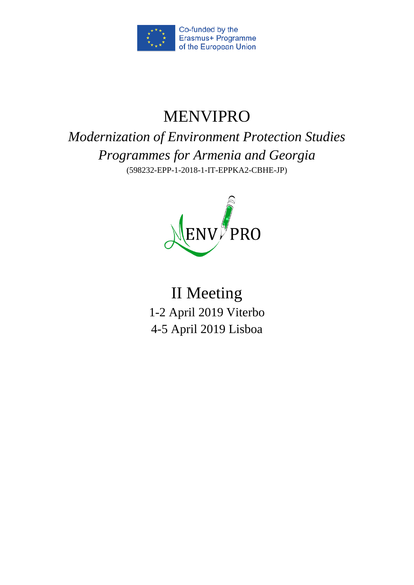

# MENVIPRO

*Modernization of Environment Protection Studies Programmes for Armenia and Georgia*  (598232-EPP-1-2018-1-IT-EPPKA2-CBHE-JP)



II Meeting 1-2 April 2019 Viterbo 4-5 April 2019 Lisboa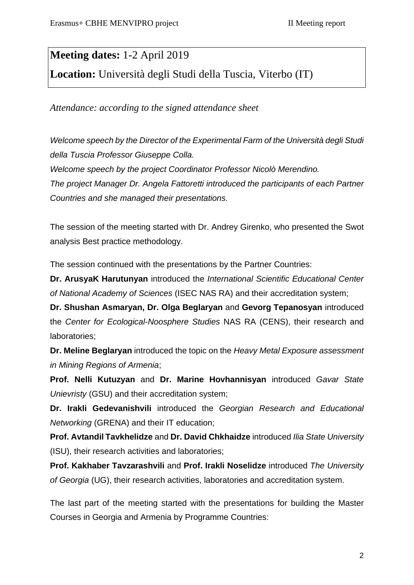## **Meeting dates:** 1-2 April 2019

**Location:** Università degli Studi della Tuscia, Viterbo (IT)

*Attendance: according to the signed attendance sheet*

*Welcome speech by the Director of the Experimental Farm of the Università degli Studi della Tuscia Professor Giuseppe Colla. Welcome speech by the project Coordinator Professor Nicolò Merendino. The project Manager Dr. Angela Fattoretti introduced the participants of each Partner Countries and she managed their presentations.*

The session of the meeting started with Dr. Andrey Girenko, who presented the Swot analysis Best practice methodology.

The session continued with the presentations by the Partner Countries:

**Dr. ArusyaK Harutunyan** introduced the *International Scientific Educational Center of National Academy of Sciences* (ISEC NAS RA) and their accreditation system;

**Dr. Shushan Asmaryan, Dr. Olga Beglaryan** and **Gevorg Tepanosyan** introduced the *Center for Ecological-Noosphere Studies* NAS RA (CENS), their research and laboratories;

**Dr. Meline Beglaryan** introduced the topic on the *Heavy Metal Exposure assessment in Mining Regions of Armenia*;

**Prof. Nelli Kutuzyan** and **Dr. Marine Hovhannisyan** introduced *Gavar State Unievristy* (GSU) and their accreditation system;

**Dr. Irakli Gedevanishvili** introduced the *Georgian Research and Educational Networking* (GRENA) and their IT education;

**Prof. Avtandil Tavkhelidze** and **Dr. David Chkhaidze** introduced *Ilia State University* (ISU), their research activities and laboratories;

**Prof. Kakhaber Tavzarashvili** and **Prof. Irakli Noselidze** introduced *The University of Georgia* (UG), their research activities, laboratories and accreditation system.

The last part of the meeting started with the presentations for building the Master Courses in Georgia and Armenia by Programme Countries: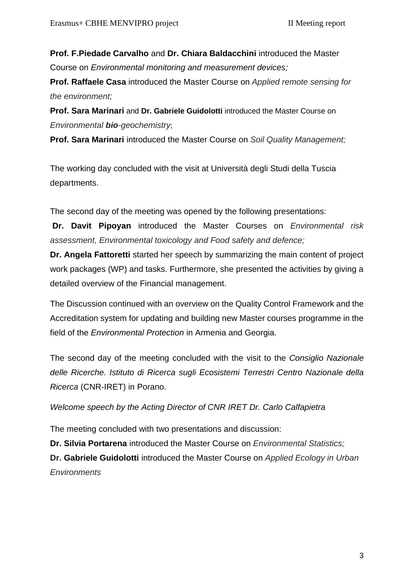**Prof. F.Piedade Carvalho** and **Dr. Chiara Baldacchini** introduced the Master Course on *Environmental monitoring and measurement devices;*

**Prof. Raffaele Casa** introduced the Master Course on *Applied remote sensing for the environment;*

**Prof. Sara Marinari** and **Dr. Gabriele Guidolotti** introduced the Master Course on *Environmental bio-geochemistry*;

**Prof. Sara Marinari** introduced the Master Course on *Soil Quality Management;*

The working day concluded with the visit at Università degli Studi della Tuscia departments.

The second day of the meeting was opened by the following presentations:

**Dr. Davit Pipoyan** introduced the Master Courses on *Environmental risk assessment, Environmental toxicology and Food safety and defence;*

**Dr. Angela Fattoretti** started her speech by summarizing the main content of project work packages (WP) and tasks. Furthermore, she presented the activities by giving a detailed overview of the Financial management.

The Discussion continued with an overview on the Quality Control Framework and the Accreditation system for updating and building new Master courses programme in the field of the *Environmental Protection* in Armenia and Georgia.

The second day of the meeting concluded with the visit to the *Consiglio Nazionale delle Ricerche. Istituto di Ricerca sugli Ecosistemi Terrestri Centro Nazionale della Ricerca* (CNR-IRET) in Porano.

*Welcome speech by the Acting Director of CNR IRET Dr. Carlo Calfapietra* 

The meeting concluded with two presentations and discussion:

**Dr. Silvia Portarena** introduced the Master Course on *Environmental Statistics;*

**Dr. Gabriele Guidolotti** introduced the Master Course on *Applied Ecology in Urban Environments*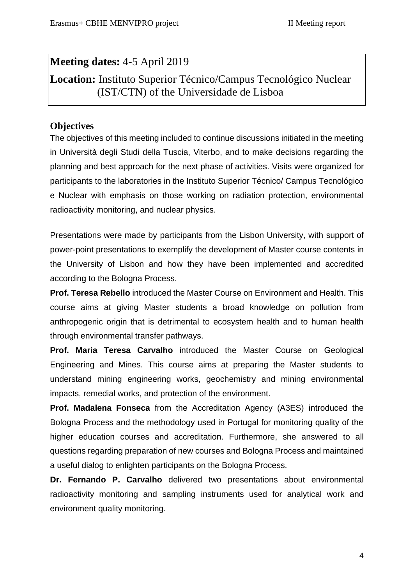## **Meeting dates:** 4-5 April 2019

# **Location:** Instituto Superior Técnico/Campus Tecnológico Nuclear (IST/CTN) of the Universidade de Lisboa

### **Objectives**

The objectives of this meeting included to continue discussions initiated in the meeting in Università degli Studi della Tuscia, Viterbo, and to make decisions regarding the planning and best approach for the next phase of activities. Visits were organized for participants to the laboratories in the Instituto Superior Técnico/ Campus Tecnológico e Nuclear with emphasis on those working on radiation protection, environmental radioactivity monitoring, and nuclear physics.

Presentations were made by participants from the Lisbon University, with support of power-point presentations to exemplify the development of Master course contents in the University of Lisbon and how they have been implemented and accredited according to the Bologna Process.

**Prof. Teresa Rebello** introduced the Master Course on Environment and Health. This course aims at giving Master students a broad knowledge on pollution from anthropogenic origin that is detrimental to ecosystem health and to human health through environmental transfer pathways.

**Prof. Maria Teresa Carvalho** introduced the Master Course on Geological Engineering and Mines. This course aims at preparing the Master students to understand mining engineering works, geochemistry and mining environmental impacts, remedial works, and protection of the environment.

**Prof. Madalena Fonseca** from the Accreditation Agency (A3ES) introduced the Bologna Process and the methodology used in Portugal for monitoring quality of the higher education courses and accreditation. Furthermore, she answered to all questions regarding preparation of new courses and Bologna Process and maintained a useful dialog to enlighten participants on the Bologna Process.

**Dr. Fernando P. Carvalho** delivered two presentations about environmental radioactivity monitoring and sampling instruments used for analytical work and environment quality monitoring.